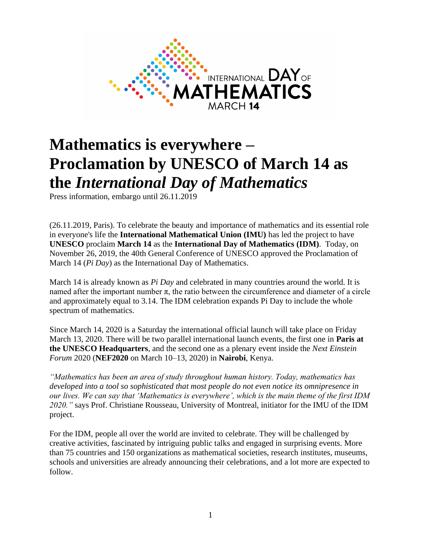

# **Mathematics is everywhere – Proclamation by UNESCO of March 14 as the** *International Day of Mathematics*

Press information, embargo until 26.11.2019

(26.11.2019, Paris). To celebrate the beauty and importance of mathematics and its essential role in everyone's life the **International Mathematical Union (IMU)** has led the project to have **UNESCO** proclaim **March 14** as the **International Day of Mathematics (IDM)**. Today, on November 26, 2019, the 40th General Conference of UNESCO approved the Proclamation of March 14 (*Pi Day*) as the International Day of Mathematics.

March 14 is already known as *Pi Day* and celebrated in many countries around the world. It is named after the important number  $\pi$ , the ratio between the circumference and diameter of a circle and approximately equal to 3.14. The IDM celebration expands Pi Day to include the whole spectrum of mathematics.

Since March 14, 2020 is a Saturday the international official launch will take place on Friday March 13, 2020. There will be two parallel international launch events, the first one in **Paris at the UNESCO Headquarters**, and the second one as a plenary event inside the *Next Einstein Forum* 2020 (**NEF2020** on March 10–13, 2020) in **Nairobi**, Kenya.

*"Mathematics has been an area of study throughout human history. Today, mathematics has developed into a tool so sophisticated that most people do not even notice its omnipresence in our lives. We can say that 'Mathematics is everywhere', which is the main theme of the first IDM 2020."* says Prof. Christiane Rousseau, University of Montreal, initiator for the IMU of the IDM project.

For the IDM, people all over the world are invited to celebrate. They will be challenged by creative activities, fascinated by intriguing public talks and engaged in surprising events. More than 75 countries and 150 organizations as mathematical societies, research institutes, museums, schools and universities are already announcing their celebrations, and a lot more are expected to follow.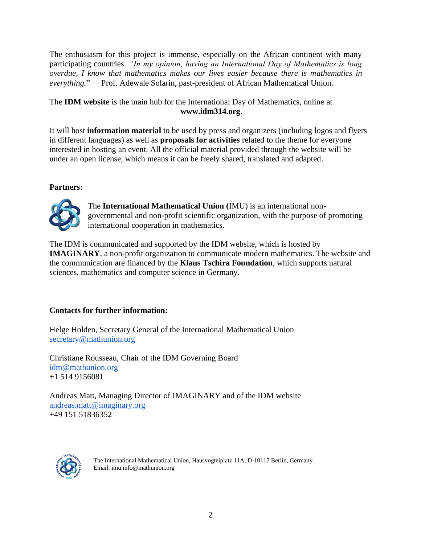The enthusiasm for this project is immense, especially on the African continent with many participating countries. *"In my opinion, having an International Day of Mathematics is long overdue, I know that mathematics makes our lives easier because there is mathematics in everything.*" — Prof. Adewale Solarin, past-president of African Mathematical Union.

### The **IDM website** is the main hub for the International Day of Mathematics, online [at](http://www.idm314.org/) **[www.idm314.org](http://www.idm314.org/)**.

It will host **information material** to be used by press and organizers (including logos and flyers in different languages) as well as **proposals for activities** related to the theme for everyone interested in hosting an event. All the official material provided through the website will be under an open license, which means it can be freely shared, translated and adapted.

## **Partners:**



The **International Mathematical Union (**IMU) is an international nongovernmental and non-profit scientific organization, with the purpose of promoting international cooperation in mathematics.

The IDM is communicated and supported by the IDM website, which is hosted by **IMAGINARY**, a non-profit organization to communicate modern mathematics. The website and the communication are financed by the **Klaus Tschira Foundation**, which supports natural sciences, mathematics and computer science in Germany.

## **Contacts for further information:**

Helge Holden, Secretary General of the International Mathematical Union [secretary@mathunion.org](mailto:secretary@mathunion.org)

Christiane Rousseau, Chair of the IDM Governing Board [idm@mathunion.org](mailto:idm@mathunion.org) +1 514 9156081

Andreas Matt, Managing Director of IMAGINARY and of the IDM website [andreas.matt@imaginary.org](mailto:andreas.matt@imaginary.org) +49 151 51836352



The International Mathematical Union, Hausvogteiplatz 11A, D-10117 Berlin, Germany. Email: imu.info@mathunion.org